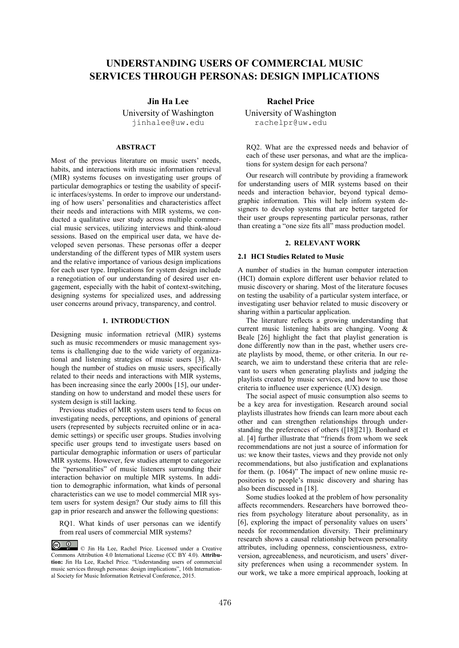# **UNDERSTANDING USERS OF COMMERCIAL MUSIC SERVICES THROUGH PERSONAS: DESIGN IMPLICATIONS**

University of Washington jinhalee@uw.edu

# **ABSTRACT**

Most of the previous literature on music users' needs, habits, and interactions with music information retrieval (MIR) systems focuses on investigating user groups of particular demographics or testing the usability of specific interfaces/systems. In order to improve our understanding of how users' personalities and characteristics affect their needs and interactions with MIR systems, we conducted a qualitative user study across multiple commercial music services, utilizing interviews and think-aloud sessions. Based on the empirical user data, we have developed seven personas. These personas offer a deeper understanding of the different types of MIR system users and the relative importance of various design implications for each user type. Implications for system design include a renegotiation of our understanding of desired user engagement, especially with the habit of context-switching, designing systems for specialized uses, and addressing user concerns around privacy, transparency, and control.

# **1. INTRODUCTION**

Designing music information retrieval (MIR) systems such as music recommenders or music management systems is challenging due to the wide variety of organizational and listening strategies of music users [3]. Although the number of studies on music users, specifically related to their needs and interactions with MIR systems, has been increasing since the early 2000s [15], our understanding on how to understand and model these users for system design is still lacking.

Previous studies of MIR system users tend to focus on investigating needs, perceptions, and opinions of general users (represented by subjects recruited online or in academic settings) or specific user groups. Studies involving specific user groups tend to investigate users based on particular demographic information or users of particular MIR systems. However, few studies attempt to categorize the "personalities" of music listeners surrounding their interaction behavior on multiple MIR systems. In addition to demographic information, what kinds of personal characteristics can we use to model commercial MIR system users for system design? Our study aims to fill this gap in prior research and answer the following questions:

RQ1. What kinds of user personas can we identify from real users of commercial MIR systems?

**Jin Ha Lee Rachel Price** 

University of Washington rachelpr@uw.edu

RQ2. What are the expressed needs and behavior of each of these user personas, and what are the implications for system design for each persona?

Our research will contribute by providing a framework for understanding users of MIR systems based on their needs and interaction behavior, beyond typical demographic information. This will help inform system designers to develop systems that are better targeted for their user groups representing particular personas, rather than creating a "one size fits all" mass production model.

## **2. RELEVANT WORK**

# **2.1 HCI Studies Related to Music**

A number of studies in the human computer interaction (HCI) domain explore different user behavior related to music discovery or sharing. Most of the literature focuses on testing the usability of a particular system interface, or investigating user behavior related to music discovery or sharing within a particular application.

The literature reflects a growing understanding that current music listening habits are changing. Voong & Beale [26] highlight the fact that playlist generation is done differently now than in the past, whether users create playlists by mood, theme, or other criteria. In our research, we aim to understand these criteria that are relevant to users when generating playlists and judging the playlists created by music services, and how to use those criteria to influence user experience (UX) design.

The social aspect of music consumption also seems to be a key area for investigation. Research around social playlists illustrates how friends can learn more about each other and can strengthen relationships through understanding the preferences of others ([18][21]). Bonhard et al. [4] further illustrate that "friends from whom we seek recommendations are not just a source of information for us: we know their tastes, views and they provide not only recommendations, but also justification and explanations for them. (p. 1064)" The impact of new online music repositories to people's music discovery and sharing has also been discussed in [18].

Some studies looked at the problem of how personality affects recommenders. Researchers have borrowed theories from psychology literature about personality, as in [6], exploring the impact of personality values on users' needs for recommendation diversity. Their preliminary research shows a causal relationship between personality attributes, including openness, conscientiousness, extroversion, agreeableness, and neuroticism, and users' diversity preferences when using a recommender system. In our work, we take a more empirical approach, looking at

<sup>©</sup> Jin Ha Lee, Rachel Price. Licensed under a Creative Commons Attribution 4.0 International License (CC BY 4.0). **Attribution:** Jin Ha Lee, Rachel Price. "Understanding users of commercial music services through personas: design implications", 16th International Society for Music Information Retrieval Conference, 2015.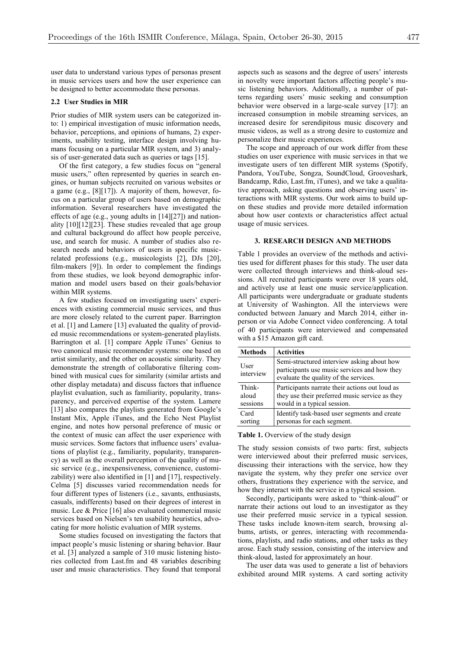user data to understand various types of personas present in music services users and how the user experience can be designed to better accommodate these personas.

#### **2.2 User Studies in MIR**

Prior studies of MIR system users can be categorized into: 1) empirical investigation of music information needs, behavior, perceptions, and opinions of humans, 2) experiments, usability testing, interface design involving humans focusing on a particular MIR system, and 3) analysis of user-generated data such as queries or tags [15].

Of the first category, a few studies focus on "general music users," often represented by queries in search engines, or human subjects recruited on various websites or a game (e.g., [8][17]). A majority of them, however, focus on a particular group of users based on demographic information. Several researchers have investigated the effects of age (e.g., young adults in [14][27]) and nationality [10][12][23]. These studies revealed that age group and cultural background do affect how people perceive, use, and search for music. A number of studies also research needs and behaviors of users in specific musicrelated professions (e.g., musicologists [2], DJs [20], film-makers [9]). In order to complement the findings from these studies, we look beyond demographic information and model users based on their goals/behavior within MIR systems.

A few studies focused on investigating users' experiences with existing commercial music services, and thus are more closely related to the current paper. Barrington et al. [1] and Lamere [13] evaluated the quality of provided music recommendations or system-generated playlists. Barrington et al. [1] compare Apple iTunes' Genius to two canonical music recommender systems: one based on artist similarity, and the other on acoustic similarity. They demonstrate the strength of collaborative filtering combined with musical cues for similarity (similar artists and other display metadata) and discuss factors that influence playlist evaluation, such as familiarity, popularity, transparency, and perceived expertise of the system. Lamere [13] also compares the playlists generated from Google's Instant Mix, Apple iTunes, and the Echo Nest Playlist engine, and notes how personal preference of music or the context of music can affect the user experience with music services. Some factors that influence users' evaluations of playlist (e.g., familiarity, popularity, transparency) as well as the overall perception of the quality of music service (e.g., inexpensiveness, convenience, customizability) were also identified in [1] and [17], respectively. Celma [5] discusses varied recommendation needs for four different types of listeners (i.e., savants, enthusiasts, casuals, indifferents) based on their degrees of interest in music. Lee & Price [16] also evaluated commercial music services based on Nielsen's ten usability heuristics, advocating for more holistic evaluation of MIR systems.

Some studies focused on investigating the factors that impact people's music listening or sharing behavior. Baur et al. [3] analyzed a sample of 310 music listening histories collected from Last.fm and 48 variables describing user and music characteristics. They found that temporal aspects such as seasons and the degree of users' interests in novelty were important factors affecting people's music listening behaviors. Additionally, a number of patterns regarding users' music seeking and consumption behavior were observed in a large-scale survey [17]: an increased consumption in mobile streaming services, an increased desire for serendipitous music discovery and music videos, as well as a strong desire to customize and personalize their music experiences.

The scope and approach of our work differ from these studies on user experience with music services in that we investigate users of ten different MIR systems (Spotify, Pandora, YouTube, Songza, SoundCloud, Grooveshark, Bandcamp, Rdio, Last.fm, iTunes), and we take a qualitative approach, asking questions and observing users' interactions with MIR systems. Our work aims to build upon these studies and provide more detailed information about how user contexts or characteristics affect actual usage of music services.

#### **3. RESEARCH DESIGN AND METHODS**

Table 1 provides an overview of the methods and activities used for different phases for this study. The user data were collected through interviews and think-aloud sessions. All recruited participants were over 18 years old, and actively use at least one music service/application. All participants were undergraduate or graduate students at University of Washington. All the interviews were conducted between January and March 2014, either inperson or via Adobe Connect video conferencing. A total of 40 participants were interviewed and compensated with a \$15 Amazon gift card.

| <b>Methods</b>    | <b>Activities</b>                                                                                                                   |
|-------------------|-------------------------------------------------------------------------------------------------------------------------------------|
| User<br>interview | Semi-structured interview asking about how<br>participants use music services and how they<br>evaluate the quality of the services. |
| Think-            | Participants narrate their actions out loud as                                                                                      |
| aloud             | they use their preferred music service as they                                                                                      |
| sessions          | would in a typical session.                                                                                                         |
| Card              | Identify task-based user segments and create                                                                                        |
| sorting           | personas for each segment.                                                                                                          |

#### **Table 1.** Overview of the study design

The study session consists of two parts: first, subjects were interviewed about their preferred music services, discussing their interactions with the service, how they navigate the system, why they prefer one service over others, frustrations they experience with the service, and how they interact with the service in a typical session.

Secondly, participants were asked to "think-aloud" or narrate their actions out loud to an investigator as they use their preferred music service in a typical session. These tasks include known-item search, browsing albums, artists, or genres, interacting with recommendations, playlists, and radio stations, and other tasks as they arose. Each study session, consisting of the interview and think-aloud, lasted for approximately an hour.

The user data was used to generate a list of behaviors exhibited around MIR systems. A card sorting activity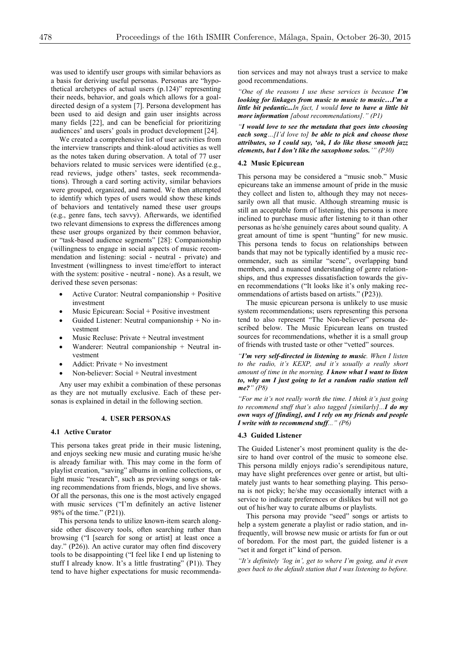was used to identify user groups with similar behaviors as a basis for deriving useful personas. Personas are "hypothetical archetypes of actual users (p.124)" representing their needs, behavior, and goals which allows for a goaldirected design of a system [7]. Persona development has been used to aid design and gain user insights across many fields [22], and can be beneficial for prioritizing audiences' and users' goals in product development [24].

We created a comprehensive list of user activities from the interview transcripts and think-aloud activities as well as the notes taken during observation. A total of 77 user behaviors related to music services were identified (e.g., read reviews, judge others' tastes, seek recommendations). Through a card sorting activity, similar behaviors were grouped, organized, and named. We then attempted to identify which types of users would show these kinds of behaviors and tentatively named these user groups (e.g., genre fans, tech savvy). Afterwards, we identified two relevant dimensions to express the differences among these user groups organized by their common behavior, or "task-based audience segments" [28]: Companionship (willingness to engage in social aspects of music recommendation and listening: social - neutral - private) and Investment (willingness to invest time/effort to interact with the system: positive - neutral - none). As a result, we derived these seven personas:

- Active Curator: Neutral companionship + Positive investment
- Music Epicurean: Social + Positive investment
- Guided Listener: Neutral companionship  $+$  No investment
- Music Recluse: Private + Neutral investment
- Wanderer: Neutral companionship + Neutral investment
- x Addict: Private + No investment
- x Non-believer: Social + Neutral investment

Any user may exhibit a combination of these personas as they are not mutually exclusive. Each of these personas is explained in detail in the following section.

### **4. USER PERSONAS**

# **4.1 Active Curator**

This persona takes great pride in their music listening, and enjoys seeking new music and curating music he/she is already familiar with. This may come in the form of playlist creation, "saving" albums in online collections, or light music "research", such as previewing songs or taking recommendations from friends, blogs, and live shows. Of all the personas, this one is the most actively engaged with music services ("I'm definitely an active listener 98% of the time." (P21)).

This persona tends to utilize known-item search alongside other discovery tools, often searching rather than browsing ("I [search for song or artist] at least once a day." (P26)). An active curator may often find discovery tools to be disappointing ("I feel like I end up listening to stuff I already know. It's a little frustrating" (P1)). They tend to have higher expectations for music recommendation services and may not always trust a service to make good recommendations.

*"One of the reasons I use these services is because I'm looking for linkages from music to music to music…I'm a little bit pedantic...In fact, I would love to have a little bit more information [about recommendations]." (P1)*

*"I would love to see the metadata that goes into choosing each song…[I'd love to] be able to pick and choose those attributes, so I could say, 'ok, I do like those smooth jazz elements, but I don't like the saxophone solos.'" (P30)*

#### **4.2 Music Epicurean**

This persona may be considered a "music snob." Music epicureans take an immense amount of pride in the music they collect and listen to, although they may not necessarily own all that music. Although streaming music is still an acceptable form of listening, this persona is more inclined to purchase music after listening to it than other personas as he/she genuinely cares about sound quality. A great amount of time is spent "hunting" for new music. This persona tends to focus on relationships between bands that may not be typically identified by a music recommender, such as similar "scene", overlapping band members, and a nuanced understanding of genre relationships, and thus expresses dissatisfaction towards the given recommendations ("It looks like it's only making recommendations of artists based on artists." (P23)).

The music epicurean persona is unlikely to use music system recommendations; users representing this persona tend to also represent "The Non-believer" persona described below. The Music Epicurean leans on trusted sources for recommendations, whether it is a small group of friends with trusted taste or other "vetted" sources.

*"I'm very self-directed in listening to music. When I listen to the radio, it's KEXP, and it's usually a really short amount of time in the morning. I know what I want to listen to, why am I just going to let a random radio station tell me?" (P8)*

*"For me it's not really worth the time. I think it's just going to recommend stuff that's also tagged [similarly]...I do my own ways of [finding], and I rely on my friends and people I write with to recommend stuff..." (P6)*

#### **4.3 Guided Listener**

The Guided Listener's most prominent quality is the desire to hand over control of the music to someone else. This persona mildly enjoys radio's serendipitous nature, may have slight preferences over genre or artist, but ultimately just wants to hear something playing. This persona is not picky; he/she may occasionally interact with a service to indicate preferences or dislikes but will not go out of his/her way to curate albums or playlists.

This persona may provide "seed" songs or artists to help a system generate a playlist or radio station, and infrequently, will browse new music or artists for fun or out of boredom. For the most part, the guided listener is a "set it and forget it" kind of person.

*"It's definitely 'log in', get to where I'm going, and it even goes back to the default station that I was listening to before.*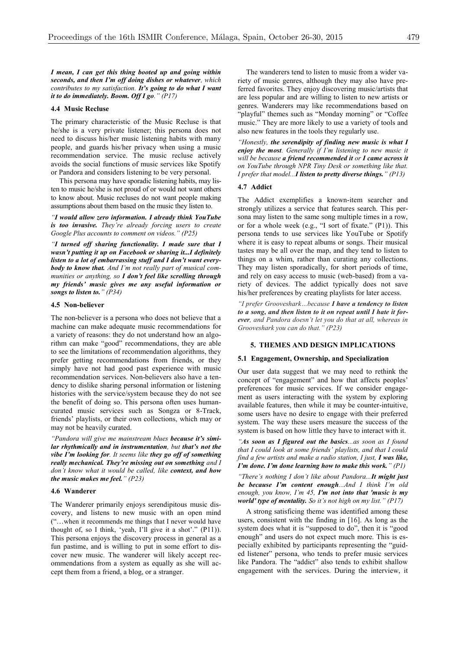*I mean, I can get this thing booted up and going within seconds, and then I'm off doing dishes or whatever, which contributes to my satisfaction. It's going to do what I want it to do immediately. Boom. Off I go." (P17)*

#### **4.4 Music Recluse**

The primary characteristic of the Music Recluse is that he/she is a very private listener; this persona does not need to discuss his/her music listening habits with many people, and guards his/her privacy when using a music recommendation service. The music recluse actively avoids the social functions of music services like Spotify or Pandora and considers listening to be very personal.

This persona may have sporadic listening habits, may listen to music he/she is not proud of or would not want others to know about. Music recluses do not want people making assumptions about them based on the music they listen to.

*"I would allow zero information. I already think YouTube is too invasive. They're already forcing users to create Google Plus accounts to comment on videos." (P25)*

*"I turned off sharing functionality. I made sure that I wasn't putting it up on Facebook or sharing it...I definitely listen to a lot of embarrassing stuff and I don't want everybody to know that. And I'm not really part of musical communities or anything, so I don't feel like scrolling through my friends' music gives me any useful information or songs to listen to." (P34)*

#### **4.5 Non-believer**

The non-believer is a persona who does not believe that a machine can make adequate music recommendations for a variety of reasons: they do not understand how an algorithm can make "good" recommendations, they are able to see the limitations of recommendation algorithms, they prefer getting recommendations from friends, or they simply have not had good past experience with music recommendation services. Non-believers also have a tendency to dislike sharing personal information or listening histories with the service/system because they do not see the benefit of doing so. This persona often uses humancurated music services such as Songza or 8-Track, friends' playlists, or their own collections, which may or may not be heavily curated.

*"Pandora will give me mainstream blues because it's similar rhythmically and in instrumentation, but that's not the vibe I'm looking for. It seems like they go off of something really mechanical. They're missing out on something and I don't know what it would be called, like context, and how the music makes me feel." (P23)*

#### **4.6 Wanderer**

The Wanderer primarily enjoys serendipitous music discovery, and listens to new music with an open mind ("…when it recommends me things that I never would have thought of, so I think, 'yeah, I'll give it a shot'." (P11)). This persona enjoys the discovery process in general as a fun pastime, and is willing to put in some effort to discover new music. The wanderer will likely accept recommendations from a system as equally as she will accept them from a friend, a blog, or a stranger.

The wanderers tend to listen to music from a wider variety of music genres, although they may also have preferred favorites. They enjoy discovering music/artists that are less popular and are willing to listen to new artists or genres. Wanderers may like recommendations based on "playful" themes such as "Monday morning" or "Coffee music." They are more likely to use a variety of tools and also new features in the tools they regularly use.

*"Honestly, the serendipity of finding new music is what I enjoy the most. Generally if I'm listening to new music it will be because a friend recommended it or I came across it on YouTube through NPR Tiny Desk or something like that. I prefer that model...I listen to pretty diverse things." (P13)*

#### **4.7 Addict**

The Addict exemplifies a known-item searcher and strongly utilizes a service that features search. This persona may listen to the same song multiple times in a row, or for a whole week (e.g., "I sort of fixate." (P1)). This persona tends to use services like YouTube or Spotify where it is easy to repeat albums or songs. Their musical tastes may be all over the map, and they tend to listen to things on a whim, rather than curating any collections. They may listen sporadically, for short periods of time, and rely on easy access to music (web-based) from a variety of devices. The addict typically does not save his/her preferences by creating playlists for later access.

*"I prefer Grooveshark…because I have a tendency to listen to a song, and then listen to it on repeat until I hate it forever, and Pandora doesn't let you do that at all, whereas in Grooveshark you can do that." (P23)*

#### **5. THEMES AND DESIGN IMPLICATIONS**

## **5.1 Engagement, Ownership, and Specialization**

Our user data suggest that we may need to rethink the concept of "engagement" and how that affects peoples' preferences for music services. If we consider engagement as users interacting with the system by exploring available features, then while it may be counter-intuitive, some users have no desire to engage with their preferred system. The way these users measure the success of the system is based on how little they have to interact with it.

*"As soon as I figured out the basics...as soon as I found that I could look at some friends' playlists, and that I could find a few artists and make a radio station, I just, I was like, I'm done. I'm done learning how to make this work." (P1)*

*"There's nothing I don't like about Pandora...It might just be because I'm content enough...And I think I'm old enough, you know, I'm 45, I'm not into that 'music is my world' type of mentality. So it's not high on my list." (P17)*

A strong satisficing theme was identified among these users, consistent with the finding in [16]. As long as the system does what it is "supposed to do", then it is "good enough" and users do not expect much more. This is especially exhibited by participants representing the "guided listener" persona, who tends to prefer music services like Pandora. The "addict" also tends to exhibit shallow engagement with the services. During the interview, it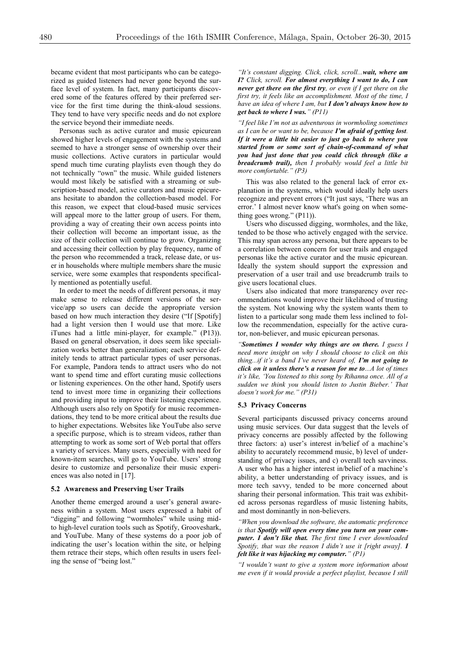became evident that most participants who can be categorized as guided listeners had never gone beyond the surface level of system. In fact, many participants discovered some of the features offered by their preferred service for the first time during the think-aloud sessions. They tend to have very specific needs and do not explore the service beyond their immediate needs.

Personas such as active curator and music epicurean showed higher levels of engagement with the systems and seemed to have a stronger sense of ownership over their music collections. Active curators in particular would spend much time curating playlists even though they do not technically "own" the music. While guided listeners would most likely be satisfied with a streaming or subscription-based model, active curators and music epicureans hesitate to abandon the collection-based model. For this reason, we expect that cloud-based music services will appeal more to the latter group of users. For them, providing a way of creating their own access points into their collection will become an important issue, as the size of their collection will continue to grow. Organizing and accessing their collection by play frequency, name of the person who recommended a track, release date, or user in households where multiple members share the music service, were some examples that respondents specifically mentioned as potentially useful.

In order to meet the needs of different personas, it may make sense to release different versions of the service/app so users can decide the appropriate version based on how much interaction they desire ("If [Spotify] had a light version then I would use that more. Like iTunes had a little mini-player, for example." (P13)). Based on general observation, it does seem like specialization works better than generalization; each service definitely tends to attract particular types of user personas. For example, Pandora tends to attract users who do not want to spend time and effort curating music collections or listening experiences. On the other hand, Spotify users tend to invest more time in organizing their collections and providing input to improve their listening experience. Although users also rely on Spotify for music recommendations, they tend to be more critical about the results due to higher expectations. Websites like YouTube also serve a specific purpose, which is to stream videos, rather than attempting to work as some sort of Web portal that offers a variety of services. Many users, especially with need for known-item searches, will go to YouTube. Users' strong desire to customize and personalize their music experiences was also noted in [17].

#### **5.2 Awareness and Preserving User Trails**

Another theme emerged around a user's general awareness within a system. Most users expressed a habit of "digging" and following "wormholes" while using midto high-level curation tools such as Spotify, Grooveshark, and YouTube. Many of these systems do a poor job of indicating the user's location within the site, or helping them retrace their steps, which often results in users feeling the sense of "being lost."

*"It's constant digging. Click, click, scroll...wait, where am I? Click, scroll. For almost everything I want to do, I can never get there on the first try, or even if I get there on the*  first try, it feels like an accomplishment. Most of the time, I *have an idea of where I am, but I don't always know how to get back to where I was." (P11)*

*"I feel like I'm not as adventurous in wormholing sometimes as I can be or want to be, because I'm afraid of getting lost. If it were a little bit easier to just go back to where you started from or some sort of chain-of-command of what you had just done that you could click through (like a breadcrumb trail), then I probably would feel a little bit more comfortable." (P3)*

This was also related to the general lack of error explanation in the systems, which would ideally help users recognize and prevent errors ("It just says, 'There was an error.' I almost never know what's going on when something goes wrong." (P11)).

Users who discussed digging, wormholes, and the like, tended to be those who actively engaged with the service. This may span across any persona, but there appears to be a correlation between concern for user trails and engaged personas like the active curator and the music epicurean. Ideally the system should support the expression and preservation of a user trail and use breadcrumb trails to give users locational clues.

Users also indicated that more transparency over recommendations would improve their likelihood of trusting the system. Not knowing why the system wants them to listen to a particular song made them less inclined to follow the recommendation, especially for the active curator, non-believer, and music epicurean personas.

*"Sometimes I wonder why things are on there. I guess I need more insight on why I should choose to click on this thing...if it's a band I've never heard of, I'm not going to click on it unless there's a reason for me to...A lot of times it's like, 'You listened to this song by Rihanna once. All of a sudden we think you should listen to Justin Bieber.' That doesn't work for me." (P31)*

#### **5.3 Privacy Concerns**

Several participants discussed privacy concerns around using music services. Our data suggest that the levels of privacy concerns are possibly affected by the following three factors: a) user's interest in/belief of a machine's ability to accurately recommend music, b) level of understanding of privacy issues, and c) overall tech savviness. A user who has a higher interest in/belief of a machine's ability, a better understanding of privacy issues, and is more tech savvy, tended to be more concerned about sharing their personal information. This trait was exhibited across personas regardless of music listening habits, and most dominantly in non-believers.

*"When you download the software, the automatic preference is that Spotify will open every time you turn on your computer. I don't like that. The first time I ever downloaded Spotify, that was the reason I didn't use it [right away]. I felt like it was hijacking my computer." (P1)*

*"I wouldn't want to give a system more information about me even if it would provide a perfect playlist, because I still*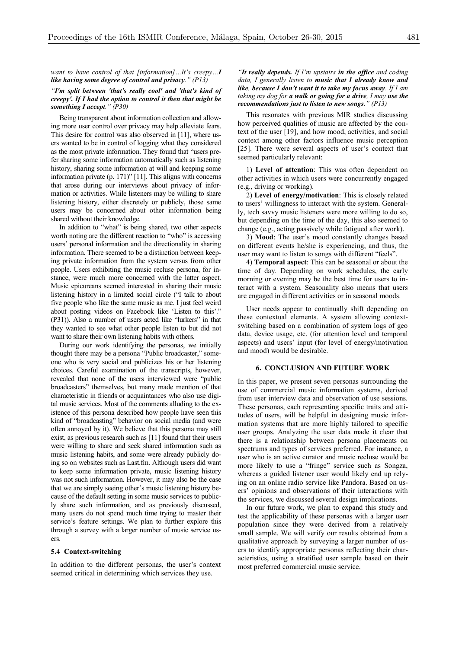*want to have control of that [information]…It's creepy…I like having some degree of control and privacy." (P13)*

## *"I'm split between 'that's really cool' and 'that's kind of creepy'. If I had the option to control it then that might be something I accept." (P30)*

Being transparent about information collection and allowing more user control over privacy may help alleviate fears. This desire for control was also observed in [11], where users wanted to be in control of logging what they considered as the most private information. They found that "users prefer sharing some information automatically such as listening history, sharing some information at will and keeping some information private (p. 171)" [11]. This aligns with concerns that arose during our interviews about privacy of information or activities. While listeners may be willing to share listening history, either discretely or publicly, those same users may be concerned about other information being shared without their knowledge.

In addition to "what" is being shared, two other aspects worth noting are the different reaction to "who" is accessing users' personal information and the directionality in sharing information. There seemed to be a distinction between keeping private information from the system versus from other people. Users exhibiting the music recluse persona, for instance, were much more concerned with the latter aspect. Music epicureans seemed interested in sharing their music listening history in a limited social circle ("I talk to about five people who like the same music as me. I just feel weird about posting videos on Facebook like 'Listen to this'." (P31)). Also a number of users acted like "lurkers" in that they wanted to see what other people listen to but did not want to share their own listening habits with others.

During our work identifying the personas, we initially thought there may be a persona "Public broadcaster," someone who is very social and publicizes his or her listening choices. Careful examination of the transcripts, however, revealed that none of the users interviewed were "public broadcasters" themselves, but many made mention of that characteristic in friends or acquaintances who also use digital music services. Most of the comments alluding to the existence of this persona described how people have seen this kind of "broadcasting" behavior on social media (and were often annoyed by it). We believe that this persona may still exist, as previous research such as [11] found that their users were willing to share and seek shared information such as music listening habits, and some were already publicly doing so on websites such as Last.fm. Although users did want to keep some information private, music listening history was not such information. However, it may also be the case that we are simply seeing other's music listening history because of the default setting in some music services to publicly share such information, and as previously discussed, many users do not spend much time trying to master their service's feature settings. We plan to further explore this through a survey with a larger number of music service users.

#### **5.4 Context-switching**

In addition to the different personas, the user's context seemed critical in determining which services they use.

### *"It really depends. If I'm upstairs in the office and coding data, I generally listen to music that I already know and like, because I don't want it to take my focus away. If I am taking my dog for a walk or going for a drive, I may use the recommendations just to listen to new songs." (P13)*

This resonates with previous MIR studies discussing how perceived qualities of music are affected by the context of the user [19], and how mood, activities, and social context among other factors influence music perception [25]. There were several aspects of user's context that seemed particularly relevant:

1) **Level of attention**: This was often dependent on other activities in which users were concurrently engaged (e.g., driving or working).

2) **Level of energy/motivation**: This is closely related to users' willingness to interact with the system. Generally, tech savvy music listeners were more willing to do so, but depending on the time of the day, this also seemed to change (e.g., acting passively while fatigued after work).

3) **Mood**: The user's mood constantly changes based on different events he/she is experiencing, and thus, the user may want to listen to songs with different "feels".

4) **Temporal aspect**: This can be seasonal or about the time of day. Depending on work schedules, the early morning or evening may be the best time for users to interact with a system. Seasonality also means that users are engaged in different activities or in seasonal moods.

User needs appear to continually shift depending on these contextual elements. A system allowing contextswitching based on a combination of system logs of geo data, device usage, etc. (for attention level and temporal aspects) and users' input (for level of energy/motivation and mood) would be desirable.

# **6. CONCLUSION AND FUTURE WORK**

In this paper, we present seven personas surrounding the use of commercial music information systems, derived from user interview data and observation of use sessions. These personas, each representing specific traits and attitudes of users, will be helpful in designing music information systems that are more highly tailored to specific user groups. Analyzing the user data made it clear that there is a relationship between persona placements on spectrums and types of services preferred. For instance, a user who is an active curator and music recluse would be more likely to use a "fringe" service such as Songza, whereas a guided listener user would likely end up relying on an online radio service like Pandora. Based on users' opinions and observations of their interactions with the services, we discussed several design implications.

In our future work, we plan to expand this study and test the applicability of these personas with a larger user population since they were derived from a relatively small sample. We will verify our results obtained from a qualitative approach by surveying a larger number of users to identify appropriate personas reflecting their characteristics, using a stratified user sample based on their most preferred commercial music service.